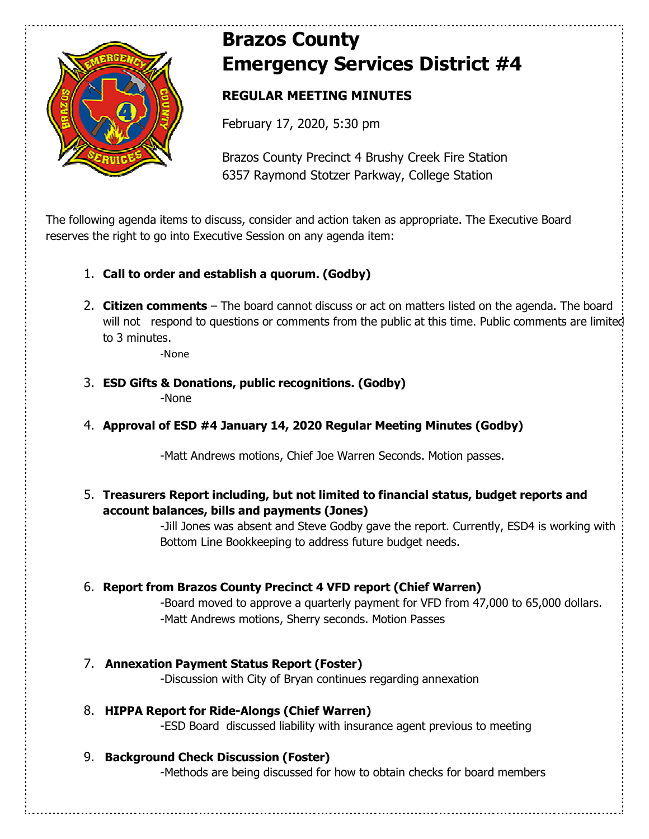

# **Brazos County Emergency Services District #4**

# **REGULAR MEETING MINUTES**

February 17, 2020, 5:30 pm

Brazos County Precinct 4 Brushy Creek Fire Station 6357 Raymond Stotzer Parkway, College Station

The following agenda items to discuss, consider and action taken as appropriate. The Executive Board reserves the right to go into Executive Session on any agenda item:

- 1. **Call to order and establish a quorum. (Godby)**
- 2. **Citizen comments** The board cannot discuss or act on matters listed on the agenda. The board will not respond to questions or comments from the public at this time. Public comments are limited to 3 minutes.

-None

- 3. **ESD Gifts & Donations, public recognitions. (Godby)** -None
- 4. **Approval of ESD #4 January 14, 2020 Regular Meeting Minutes (Godby)**

-Matt Andrews motions, Chief Joe Warren Seconds. Motion passes.

5. **Treasurers Report including, but not limited to financial status, budget reports and account balances, bills and payments (Jones)** 

> -Jill Jones was absent and Steve Godby gave the report. Currently, ESD4 is working with Bottom Line Bookkeeping to address future budget needs.

## 6. **Report from Brazos County Precinct 4 VFD report (Chief Warren)**

 -Board moved to approve a quarterly payment for VFD from 47,000 to 65,000 dollars. -Matt Andrews motions, Sherry seconds. Motion Passes

- 7. **Annexation Payment Status Report (Foster)**  -Discussion with City of Bryan continues regarding annexation
- 8. **HIPPA Report for Ride-Alongs (Chief Warren)**  -ESD Board discussed liability with insurance agent previous to meeting
- 9. **Background Check Discussion (Foster)**

-Methods are being discussed for how to obtain checks for board members